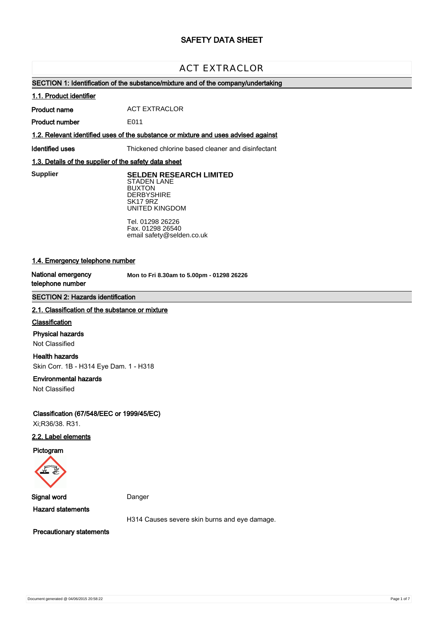# **SAFETY DATA SHEET**

# ACT EXTRACLOR

### **SECTION 1: Identification of the substance/mixture and of the company/undertaking**

#### **1.1. Product identifier**

**Product name** ACT EXTRACLOR

**Product number** E011

### **1.2. Relevant identified uses of the substance or mixture and uses advised against**

**Identified uses** Thickened chlorine based cleaner and disinfectant

### **1.3. Details of the supplier of the safety data sheet**

**Supplier** 

**SELDEN RESEARCH LIMITED** STADEN LANE BUXTON **DERBYSHIRE** SK17 9RZ UNITED KINGDOM

Tel. 01298 26226 Fax. 01298 26540 email safety@selden.co.uk

### **1.4. Emergency telephone number**

**National emergency telephone number**

**Mon to Fri 8.30am to 5.00pm - 01298 26226**

### **SECTION 2: Hazards identification**

#### **2.1. Classification of the substance or mixture**

#### **Classification**

#### **Physical hazards**

Not Classified

#### **Health hazards**

Skin Corr. 1B - H314 Eye Dam. 1 - H318

#### **Environmental hazards**

Not Classified

**Classification (67/548/EEC or 1999/45/EC)** Xi;R36/38. R31.

### **2.2. Label elements**

**Pictogram**



**Signal word** Danger

**Hazard statements**

H314 Causes severe skin burns and eye damage.

**Precautionary statements**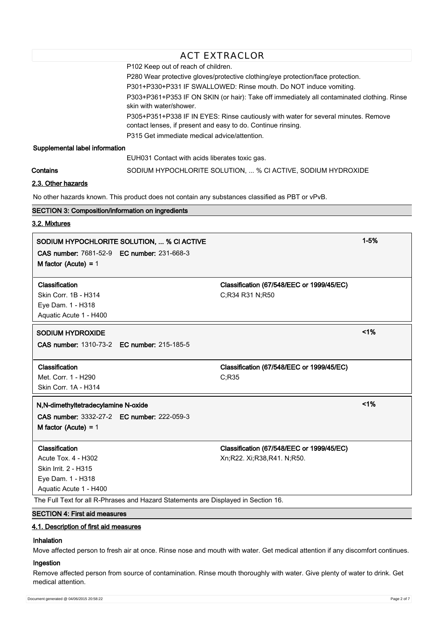| <b>ACT EXTRACLOR</b>                                                                                                                                                                                                                                                                                                                                                                                                                                                                                                                                                                                                                                                                       |                                                                                    |                                                                                                 |          |
|--------------------------------------------------------------------------------------------------------------------------------------------------------------------------------------------------------------------------------------------------------------------------------------------------------------------------------------------------------------------------------------------------------------------------------------------------------------------------------------------------------------------------------------------------------------------------------------------------------------------------------------------------------------------------------------------|------------------------------------------------------------------------------------|-------------------------------------------------------------------------------------------------|----------|
| P102 Keep out of reach of children.<br>P280 Wear protective gloves/protective clothing/eye protection/face protection.<br>P301+P330+P331 IF SWALLOWED: Rinse mouth. Do NOT induce vomiting.<br>P303+P361+P353 IF ON SKIN (or hair): Take off immediately all contaminated clothing. Rinse<br>skin with water/shower.<br>P305+P351+P338 IF IN EYES: Rinse cautiously with water for several minutes. Remove<br>contact lenses, if present and easy to do. Continue rinsing.<br>P315 Get immediate medical advice/attention.<br>Supplemental label information<br>EUH031 Contact with acids liberates toxic gas.<br>Contains<br>SODIUM HYPOCHLORITE SOLUTION,  % CI ACTIVE, SODIUM HYDROXIDE |                                                                                    |                                                                                                 |          |
| 2.3. Other hazards                                                                                                                                                                                                                                                                                                                                                                                                                                                                                                                                                                                                                                                                         |                                                                                    |                                                                                                 |          |
|                                                                                                                                                                                                                                                                                                                                                                                                                                                                                                                                                                                                                                                                                            |                                                                                    | No other hazards known. This product does not contain any substances classified as PBT or vPvB. |          |
| <b>SECTION 3: Composition/information on ingredients</b>                                                                                                                                                                                                                                                                                                                                                                                                                                                                                                                                                                                                                                   |                                                                                    |                                                                                                 |          |
| 3.2. Mixtures                                                                                                                                                                                                                                                                                                                                                                                                                                                                                                                                                                                                                                                                              |                                                                                    |                                                                                                 |          |
| <b>CAS number: 7681-52-9 EC number: 231-668-3</b><br>M factor (Acute) = $1$                                                                                                                                                                                                                                                                                                                                                                                                                                                                                                                                                                                                                | SODIUM HYPOCHLORITE SOLUTION,  % CI ACTIVE                                         |                                                                                                 | $1 - 5%$ |
| Classification<br>Skin Corr. 1B - H314<br>Eye Dam. 1 - H318<br>Aquatic Acute 1 - H400                                                                                                                                                                                                                                                                                                                                                                                                                                                                                                                                                                                                      |                                                                                    | Classification (67/548/EEC or 1999/45/EC)<br>C;R34 R31 N;R50                                    |          |
| <b>SODIUM HYDROXIDE</b><br><b>CAS number: 1310-73-2 EC number: 215-185-5</b>                                                                                                                                                                                                                                                                                                                                                                                                                                                                                                                                                                                                               |                                                                                    |                                                                                                 | $< 1\%$  |
| Classification<br>Met. Corr. 1 - H290<br>Skin Corr. 1A - H314                                                                                                                                                                                                                                                                                                                                                                                                                                                                                                                                                                                                                              |                                                                                    | Classification (67/548/EEC or 1999/45/EC)<br>C;R35                                              |          |
| N,N-dimethyltetradecylamine N-oxide<br>CAS number: 3332-27-2 EC number: 222-059-3<br>M factor (Acute) = $1$                                                                                                                                                                                                                                                                                                                                                                                                                                                                                                                                                                                |                                                                                    |                                                                                                 | 1%       |
| Classification<br>Acute Tox. 4 - H302<br>Skin Irrit. 2 - H315<br>Eye Dam. 1 - H318<br>Aquatic Acute 1 - H400                                                                                                                                                                                                                                                                                                                                                                                                                                                                                                                                                                               | The Full Text for all R-Phrases and Hazard Statements are Displayed in Section 16. | Classification (67/548/EEC or 1999/45/EC)<br>Xn;R22. Xi;R38,R41. N;R50.                         |          |
| <b>SECTION 4: First aid measures</b>                                                                                                                                                                                                                                                                                                                                                                                                                                                                                                                                                                                                                                                       |                                                                                    |                                                                                                 |          |
|                                                                                                                                                                                                                                                                                                                                                                                                                                                                                                                                                                                                                                                                                            |                                                                                    |                                                                                                 |          |

### **4.1. Description of first aid measures**

### **Inhalation**

Move affected person to fresh air at once. Rinse nose and mouth with water. Get medical attention if any discomfort continues.

### **Ingestion**

Remove affected person from source of contamination. Rinse mouth thoroughly with water. Give plenty of water to drink. Get medical attention.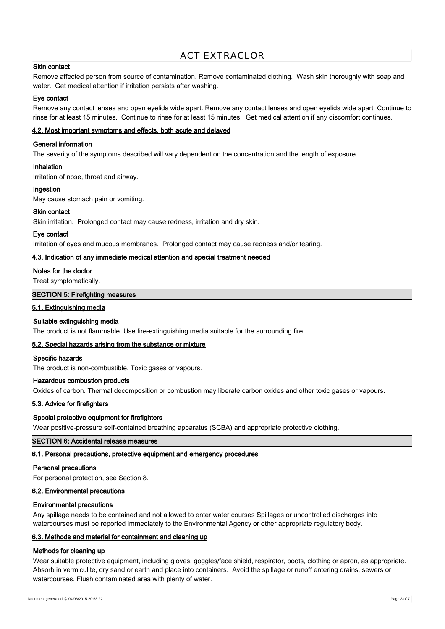#### **Skin contact**

Remove affected person from source of contamination. Remove contaminated clothing. Wash skin thoroughly with soap and water. Get medical attention if irritation persists after washing.

#### **Eye contact**

Remove any contact lenses and open eyelids wide apart. Remove any contact lenses and open eyelids wide apart. Continue to rinse for at least 15 minutes. Continue to rinse for at least 15 minutes. Get medical attention if any discomfort continues.

#### **4.2. Most important symptoms and effects, both acute and delayed**

#### **General information**

The severity of the symptoms described will vary dependent on the concentration and the length of exposure.

#### **Inhalation**

Irritation of nose, throat and airway.

#### **Ingestion**

May cause stomach pain or vomiting.

#### **Skin contact**

Skin irritation. Prolonged contact may cause redness, irritation and dry skin.

#### **Eye contact**

Irritation of eyes and mucous membranes. Prolonged contact may cause redness and/or tearing.

#### **4.3. Indication of any immediate medical attention and special treatment needed**

#### **Notes for the doctor**

Treat symptomatically.

#### **SECTION 5: Firefighting measures**

#### **5.1. Extinguishing media**

### **Suitable extinguishing media**

The product is not flammable. Use fire-extinguishing media suitable for the surrounding fire.

#### **5.2. Special hazards arising from the substance or mixture**

#### **Specific hazards**

The product is non-combustible. Toxic gases or vapours.

### **Hazardous combustion products**

Oxides of carbon. Thermal decomposition or combustion may liberate carbon oxides and other toxic gases or vapours.

### **5.3. Advice for firefighters**

#### **Special protective equipment for firefighters**

Wear positive-pressure self-contained breathing apparatus (SCBA) and appropriate protective clothing.

### **SECTION 6: Accidental release measures**

#### **6.1. Personal precautions, protective equipment and emergency procedures**

#### **Personal precautions**

For personal protection, see Section 8.

### **6.2. Environmental precautions**

### **Environmental precautions**

Any spillage needs to be contained and not allowed to enter water courses Spillages or uncontrolled discharges into watercourses must be reported immediately to the Environmental Agency or other appropriate regulatory body.

### **6.3. Methods and material for containment and cleaning up**

### **Methods for cleaning up**

Wear suitable protective equipment, including gloves, goggles/face shield, respirator, boots, clothing or apron, as appropriate. Absorb in vermiculite, dry sand or earth and place into containers. Avoid the spillage or runoff entering drains, sewers or watercourses. Flush contaminated area with plenty of water.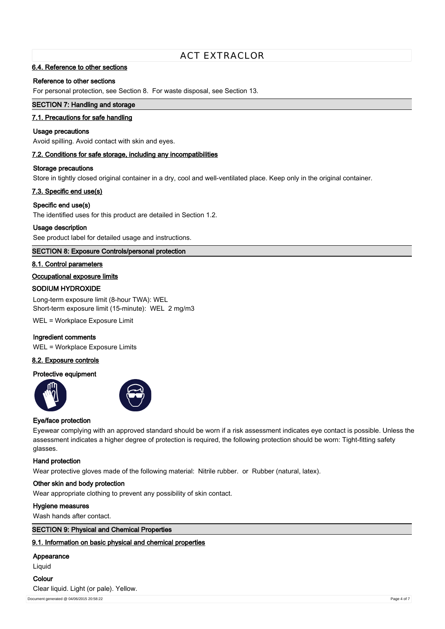### **6.4. Reference to other sections**

#### **Reference to other sections**

For personal protection, see Section 8. For waste disposal, see Section 13.

### **SECTION 7: Handling and storage**

#### **7.1. Precautions for safe handling**

#### **Usage precautions**

Avoid spilling. Avoid contact with skin and eyes.

#### **7.2. Conditions for safe storage, including any incompatibilities**

#### **Storage precautions**

Store in tightly closed original container in a dry, cool and well-ventilated place. Keep only in the original container.

#### **7.3. Specific end use(s)**

#### **Specific end use(s)**

The identified uses for this product are detailed in Section 1.2.

#### **Usage description**

See product label for detailed usage and instructions.

#### **SECTION 8: Exposure Controls/personal protection**

#### **8.1. Control parameters**

#### **Occupational exposure limits**

#### **SODIUM HYDROXIDE**

Long-term exposure limit (8-hour TWA): WEL Short-term exposure limit (15-minute): WEL 2 mg/m3

WEL = Workplace Exposure Limit

#### **Ingredient comments**

WEL = Workplace Exposure Limits

#### **8.2. Exposure controls**

#### **Protective equipment**





#### **Eye/face protection**

Eyewear complying with an approved standard should be worn if a risk assessment indicates eye contact is possible. Unless the assessment indicates a higher degree of protection is required, the following protection should be worn: Tight-fitting safety glasses.

#### **Hand protection**

Wear protective gloves made of the following material: Nitrile rubber, or Rubber (natural, latex).

#### **Other skin and body protection**

Wear appropriate clothing to prevent any possibility of skin contact.

#### **Hygiene measures**

Wash hands after contact.

### **SECTION 9: Physical and Chemical Properties**

### **9.1. Information on basic physical and chemical properties**

### **Appearance**

Liquid

# **Colour** Clear liquid. Light (or pale). Yellow.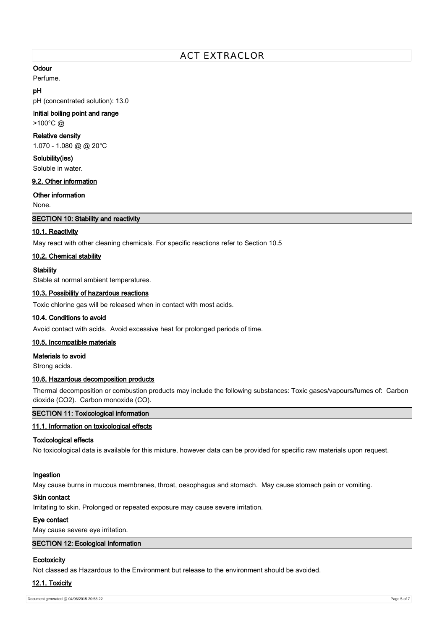### **Odour**

Perfume.

### **pH**

pH (concentrated solution): 13.0

### **Initial boiling point and range**

>100°C @

### **Relative density**

1.070 - 1.080 @ @ 20°C

**Solubility(ies)**

Soluble in water.

### **9.2. Other information**

**Other information**

None.

### **SECTION 10: Stability and reactivity**

### **10.1. Reactivity**

May react with other cleaning chemicals. For specific reactions refer to Section 10.5

### **10.2. Chemical stability**

**Stability**

Stable at normal ambient temperatures.

### **10.3. Possibility of hazardous reactions**

Toxic chlorine gas will be released when in contact with most acids.

### **10.4. Conditions to avoid**

Avoid contact with acids. Avoid excessive heat for prolonged periods of time.

### **10.5. Incompatible materials**

**Materials to avoid**

Strong acids.

### **10.6. Hazardous decomposition products**

Thermal decomposition or combustion products may include the following substances: Toxic gases/vapours/fumes of: Carbon dioxide (CO2). Carbon monoxide (CO).

### **SECTION 11: Toxicological information**

### **11.1. Information on toxicological effects**

### **Toxicological effects**

No toxicological data is available for this mixture, however data can be provided for specific raw materials upon request.

### **Ingestion**

May cause burns in mucous membranes, throat, oesophagus and stomach. May cause stomach pain or vomiting.

### **Skin contact**

Irritating to skin. Prolonged or repeated exposure may cause severe irritation.

### **Eye contact**

May cause severe eye irritation.

### **SECTION 12: Ecological Information**

### **Ecotoxicity**

Not classed as Hazardous to the Environment but release to the environment should be avoided.

### **12.1. Toxicity**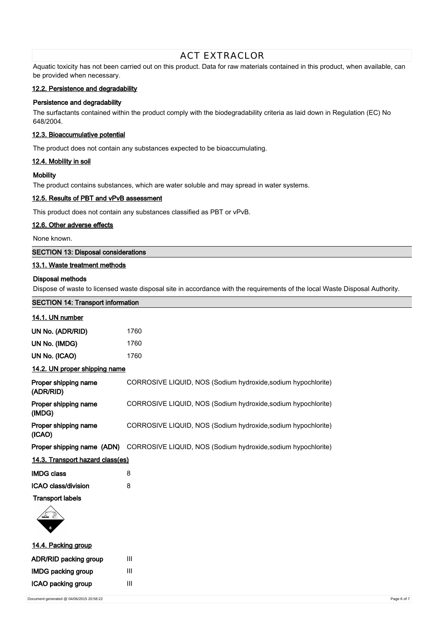Aquatic toxicity has not been carried out on this product. Data for raw materials contained in this product, when available, can be provided when necessary.

### **12.2. Persistence and degradability**

### **Persistence and degradability**

The surfactants contained within the product comply with the biodegradability criteria as laid down in Regulation (EC) No 648/2004.

### **12.3. Bioaccumulative potential**

The product does not contain any substances expected to be bioaccumulating.

#### **12.4. Mobility in soil**

#### **Mobility**

The product contains substances, which are water soluble and may spread in water systems.

#### **12.5. Results of PBT and vPvB assessment**

This product does not contain any substances classified as PBT or vPvB.

#### **12.6. Other adverse effects**

None known.

#### **SECTION 13: Disposal considerations**

### **13.1. Waste treatment methods**

#### **Disposal methods**

**14.1. UN number**

Dispose of waste to licensed waste disposal site in accordance with the requirements of the local Waste Disposal Authority.

# **SECTION 14: Transport information**

| UN No. (ADR/RID) | 1760 |
|------------------|------|
| UN No. (IMDG)    | 1760 |
| UN No. (ICAO)    | 1760 |

#### **14.2. UN proper shipping name**

| Proper shipping name<br>(ADR/RID) | CORROSIVE LIQUID, NOS (Sodium hydroxide, sodium hypochlorite) |  |
|-----------------------------------|---------------------------------------------------------------|--|
| Proper shipping name<br>(IMDG)    | CORROSIVE LIQUID, NOS (Sodium hydroxide, sodium hypochlorite) |  |
| Proper shipping name<br>(ICAO)    | CORROSIVE LIQUID, NOS (Sodium hydroxide, sodium hypochlorite) |  |
| Proper shipping name (ADN)        | CORROSIVE LIQUID, NOS (Sodium hydroxide, sodium hypochlorite) |  |
| 14.3. Transport hazard class(es)  |                                                               |  |

| <b>IMDG class</b>   | 8 |
|---------------------|---|
| ICAO class/division | 8 |

#### **Transport labels**



### **14.4. Packing group**

| <b>ADR/RID packing group</b> | ш |
|------------------------------|---|
| <b>IMDG packing group</b>    | Ш |
| ICAO packing group           | Ш |